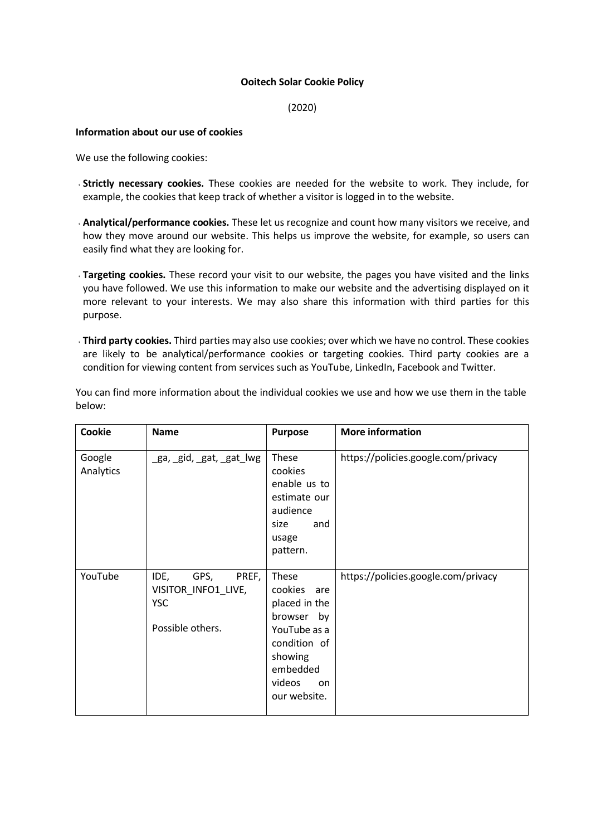## **Ooitech Solar Cookie Policy**

(2020)

## **Information about our use of cookies**

We use the following cookies:

- **Strictly necessary cookies.** These cookies are needed for the website to work. They include, for example, the cookies that keep track of whether a visitor is logged in to the website.
- **Analytical/performance cookies.** These let us recognize and count how many visitors we receive, and how they move around our website. This helps us improve the website, for example, so users can easily find what they are looking for.
- **Targeting cookies.** These record your visit to our website, the pages you have visited and the links you have followed. We use this information to make our website and the advertising displayed on it more relevant to your interests. We may also share this information with third parties for this purpose.
- **Third party cookies.** Third parties may also use cookies; over which we have no control. These cookies are likely to be analytical/performance cookies or targeting cookies. Third party cookies are a condition for viewing content from services such as YouTube, LinkedIn, Facebook and Twitter.

|        | You can find more information about the individual cookies we use and how we use them in the table |  |  |  |  |
|--------|----------------------------------------------------------------------------------------------------|--|--|--|--|
| below: |                                                                                                    |  |  |  |  |

| Cookie              | <b>Name</b>                                                                    | <b>Purpose</b>                                                                                                                                   | <b>More information</b>             |
|---------------------|--------------------------------------------------------------------------------|--------------------------------------------------------------------------------------------------------------------------------------------------|-------------------------------------|
| Google<br>Analytics | ga, gid, gat, gat lwg                                                          | These<br>cookies<br>enable us to<br>estimate our<br>audience<br>size<br>and<br>usage<br>pattern.                                                 | https://policies.google.com/privacy |
| YouTube             | IDE,<br>PREF,<br>GPS,<br>VISITOR_INFO1_LIVE,<br><b>YSC</b><br>Possible others. | These<br>cookies<br>are<br>placed in the<br>browser<br>by<br>YouTube as a<br>condition of<br>showing<br>embedded<br>videos<br>on<br>our website. | https://policies.google.com/privacy |